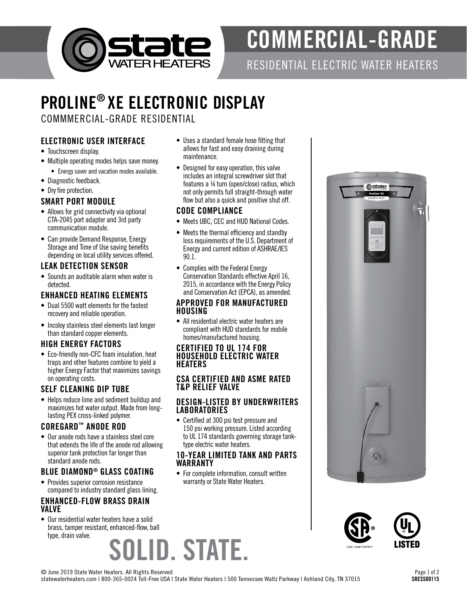

# COMMERCIAL-GRADE

RESIDENTIAL ELECTRIC WATER HEATERS

# PROLINE® XE ELECTRONIC DISPLAY

COMMMERCIAL-GRADE RESIDENTIAL

# ELECTRONIC USER INTERFACE

- Touchscreen display.
- Multiple operating modes helps save money.
- Energy saver and vacation modes available.
- Diagnostic feedback.
- Dry fire protection.

### SMART PORT MODULE

- Allows for grid connectivity via optional CTA-2045 port adapter and 3rd party communication module.
- Can provide Demand Response, Energy Storage and Time of Use saving benefits depending on local utility services offered.

# LEAK DETECTION SENSOR

• Sounds an auditable alarm when water is detected.

# ENHANCED HEATING ELEMENTS

- Dual 5500 watt elements for the fastest recovery and reliable operation.
- Incoloy stainless steel elements last longer than standard copper elements.

# HIGH ENERGY FACTORS

• Eco-friendly non-CFC foam insulation, heat traps and other features combine to yield a higher Energy Factor that maximizes savings on operating costs.

# SELF CLEANING DIP TUBE

• Helps reduce lime and sediment buildup and maximizes hot water output. Made from longlasting PEX cross-linked polymer.

#### COREGARD™ ANODE ROD

• Our anode rods have a stainless steel core that extends the life of the anode rod allowing superior tank protection far longer than standard anode rods.

# BLUE DIAMOND® GLASS COATING

• Provides superior corrosion resistance compared to industry standard glass lining.

#### ENHANCED-FLOW BRASS DRAIN VALVE

)LID. STATE. • Our residential water heaters have a solid brass, tamper resistant, enhanced-flow, ball type, drain valve.

- Uses a standard female hose fitting that allows for fast and easy draining during maintenance.
- Designed for easy operation, this valve includes an integral screwdriver slot that features a ¼ turn (open/close) radius, which not only permits full straight-through water flow but also a quick and positive shut off.

#### CODE COMPLIANCE

- Meets UBC, CEC and HUD National Codes.
- Meets the thermal efficiency and standby loss requirements of the U.S. Department of Energy and current edition of ASHRAE/IES 90.1.
- Complies with the Federal Energy Conservation Standards effective April 16, 2015, in accordance with the Energy Policy and Conservation Act (EPCA), as amended.

#### APPROVED FOR MANUFACTURED HOUSING

• All residential electric water heaters are compliant with HUD standards for mobile homes/manufactured housing.

#### CERTIFIED TO UL 174 FOR HOUSEHOLD ELECTRIC WATER HEATERS

### CSA CERTIFIED AND ASME RATED T&P RELIEF VALVE

#### DESIGN-LISTED BY UNDERWRITERS LABORATORIES

• Certified at 300 psi test pressure and 150 psi working pressure. Listed according to UL 174 standards governing storage tanktype electric water heaters.

#### 10-YEAR LIMITED TANK AND PARTS WARRANTY

• For complete information, consult written warranty or State Water Heaters.







© June 2019 State Water Heaters. All Rights Reserved

statewaterheaters.com | 800-365-0024 Toll-Free USA | State Water Heaters | 500 Tennessee Waltz Parkway | Ashland City, TN 37015